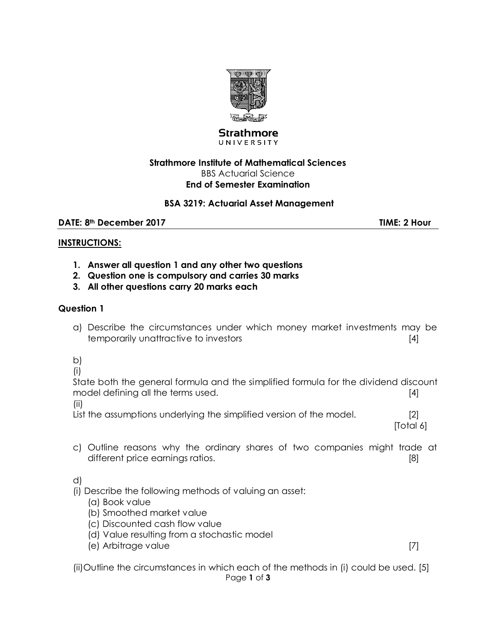

#### **Strathmore** UNIVERSITY

#### **Strathmore Institute of Mathematical Sciences** BBS Actuarial Science **End of Semester Examination**

### **BSA 3219: Actuarial Asset Management**

**DATE: 8th December 2017 TIME: 2 Hour** 

#### **INSTRUCTIONS:**

- **1. Answer all question 1 and any other two questions**
- **2. Question one is compulsory and carries 30 marks**
- **3. All other questions carry 20 marks each**

#### **Question 1**

a) Describe the circumstances under which money market investments may be temporarily unattractive to investors **EXACTE 10** and the set of the set of the set of the set of the set of the set of the set of the set of the set of the set of the set of the set of the set of the set of the set of the

b)

(i)

State both the general formula and the simplified formula for the dividend discount model defining all the terms used. **Example 20** and  $\lceil 4 \rceil$ 

(ii)

List the assumptions underlying the simplified version of the model. [2]

[Total 6]

c) Outline reasons why the ordinary shares of two companies might trade at different price earnings ratios. [8]

d)

- (i) Describe the following methods of valuing an asset:
	- (a) Book value
	- (b) Smoothed market value
	- (c) Discounted cash flow value
	- (d) Value resulting from a stochastic model
	- (e) Arbitrage value [7]

Page **1** of **3** (ii)Outline the circumstances in which each of the methods in (i) could be used. [5]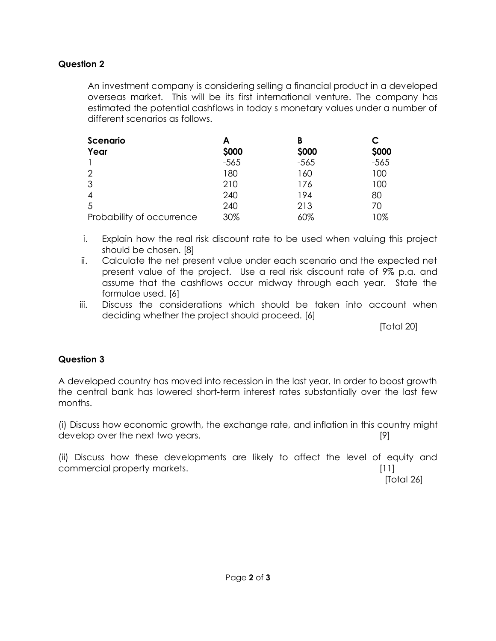## **Question 2**

An investment company is considering selling a financial product in a developed overseas market. This will be its first international venture. The company has estimated the potential cashflows in today s monetary values under a number of different scenarios as follows.

| Scenario                  | А      | B      | C      |
|---------------------------|--------|--------|--------|
| Year                      | \$000  | \$000  | \$000  |
|                           | $-565$ | $-565$ | $-565$ |
| $\overline{2}$            | 180    | 160    | 100    |
| 3                         | 210    | 176    | 100    |
| $\overline{4}$            | 240    | 194    | 80     |
| 5                         | 240    | 213    | 70     |
| Probability of occurrence | 30%    | 60%    | 10%    |

- i. Explain how the real risk discount rate to be used when valuing this project should be chosen. [8]
- ii. Calculate the net present value under each scenario and the expected net present value of the project. Use a real risk discount rate of 9% p.a. and assume that the cashflows occur midway through each year. State the formulae used. [6]
- iii. Discuss the considerations which should be taken into account when deciding whether the project should proceed. [6]

[Total 20]

## **Question 3**

A developed country has moved into recession in the last year. In order to boost growth the central bank has lowered short-term interest rates substantially over the last few months.

(i) Discuss how economic growth, the exchange rate, and inflation in this country might develop over the next two years. The set of the set of the set of the set of the set of the set of the set of the set of the set of the set of the set of the set of the set of the set of the set of the set of the set of th

(ii) Discuss how these developments are likely to affect the level of equity and commercial property markets. [11]

[Total 26]